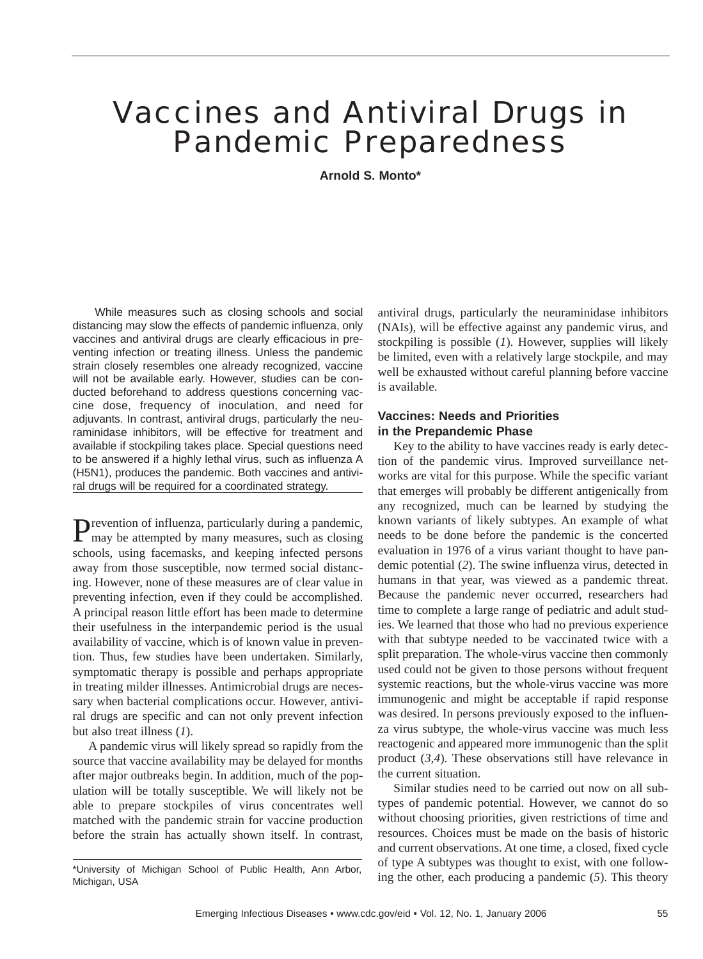# Vaccines and Antiviral Drugs in Pandemic Preparedness

**Arnold S. Monto\***

While measures such as closing schools and social distancing may slow the effects of pandemic influenza, only vaccines and antiviral drugs are clearly efficacious in preventing infection or treating illness. Unless the pandemic strain closely resembles one already recognized, vaccine will not be available early. However, studies can be conducted beforehand to address questions concerning vaccine dose, frequency of inoculation, and need for adjuvants. In contrast, antiviral drugs, particularly the neuraminidase inhibitors, will be effective for treatment and available if stockpiling takes place. Special questions need to be answered if a highly lethal virus, such as influenza A (H5N1), produces the pandemic. Both vaccines and antiviral drugs will be required for a coordinated strategy.

Prevention of influenza, particularly during a pandemic, may be attempted by many measures, such as closing schools, using facemasks, and keeping infected persons away from those susceptible, now termed social distancing. However, none of these measures are of clear value in preventing infection, even if they could be accomplished. A principal reason little effort has been made to determine their usefulness in the interpandemic period is the usual availability of vaccine, which is of known value in prevention. Thus, few studies have been undertaken. Similarly, symptomatic therapy is possible and perhaps appropriate in treating milder illnesses. Antimicrobial drugs are necessary when bacterial complications occur. However, antiviral drugs are specific and can not only prevent infection but also treat illness (*1*).

A pandemic virus will likely spread so rapidly from the source that vaccine availability may be delayed for months after major outbreaks begin. In addition, much of the population will be totally susceptible. We will likely not be able to prepare stockpiles of virus concentrates well matched with the pandemic strain for vaccine production before the strain has actually shown itself. In contrast, antiviral drugs, particularly the neuraminidase inhibitors (NAIs), will be effective against any pandemic virus, and stockpiling is possible (*1*). However, supplies will likely be limited, even with a relatively large stockpile, and may well be exhausted without careful planning before vaccine is available.

## **Vaccines: Needs and Priorities in the Prepandemic Phase**

Key to the ability to have vaccines ready is early detection of the pandemic virus. Improved surveillance networks are vital for this purpose. While the specific variant that emerges will probably be different antigenically from any recognized, much can be learned by studying the known variants of likely subtypes. An example of what needs to be done before the pandemic is the concerted evaluation in 1976 of a virus variant thought to have pandemic potential (*2*). The swine influenza virus, detected in humans in that year, was viewed as a pandemic threat. Because the pandemic never occurred, researchers had time to complete a large range of pediatric and adult studies. We learned that those who had no previous experience with that subtype needed to be vaccinated twice with a split preparation. The whole-virus vaccine then commonly used could not be given to those persons without frequent systemic reactions, but the whole-virus vaccine was more immunogenic and might be acceptable if rapid response was desired. In persons previously exposed to the influenza virus subtype, the whole-virus vaccine was much less reactogenic and appeared more immunogenic than the split product (*3,4*). These observations still have relevance in the current situation.

Similar studies need to be carried out now on all subtypes of pandemic potential. However, we cannot do so without choosing priorities, given restrictions of time and resources. Choices must be made on the basis of historic and current observations. At one time, a closed, fixed cycle of type A subtypes was thought to exist, with one following the other, each producing a pandemic (*5*). This theory

<sup>\*</sup>University of Michigan School of Public Health, Ann Arbor, Michigan, USA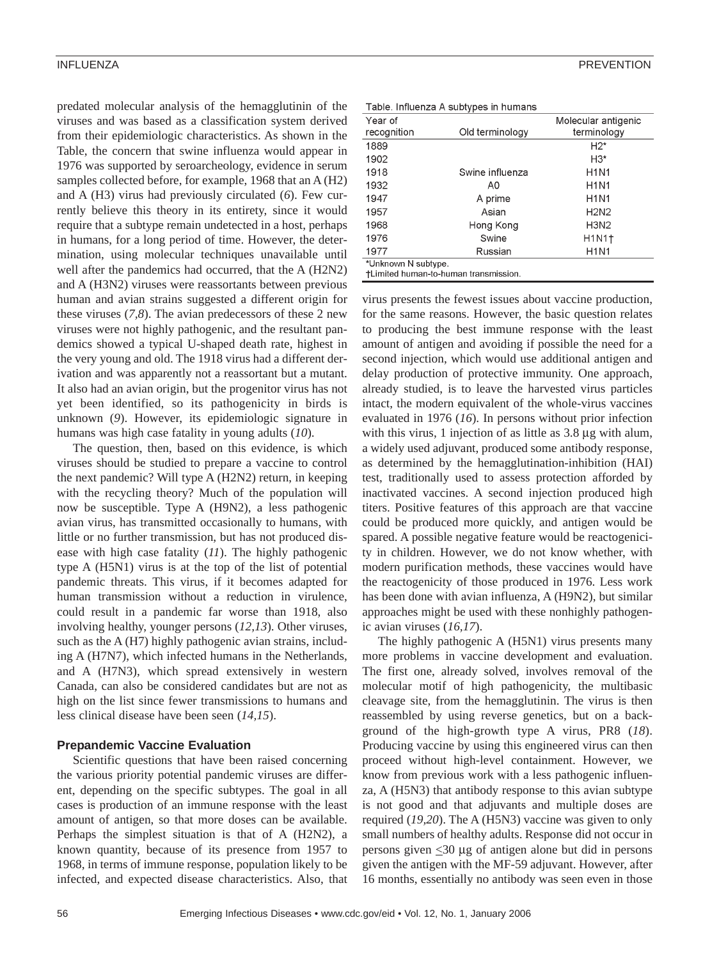predated molecular analysis of the hemagglutinin of the viruses and was based as a classification system derived from their epidemiologic characteristics. As shown in the Table, the concern that swine influenza would appear in 1976 was supported by seroarcheology, evidence in serum samples collected before, for example, 1968 that an A (H2) and A (H3) virus had previously circulated (*6*). Few currently believe this theory in its entirety, since it would require that a subtype remain undetected in a host, perhaps in humans, for a long period of time. However, the determination, using molecular techniques unavailable until well after the pandemics had occurred, that the A (H2N2) and A (H3N2) viruses were reassortants between previous human and avian strains suggested a different origin for these viruses (*7,8*). The avian predecessors of these 2 new viruses were not highly pathogenic, and the resultant pandemics showed a typical U-shaped death rate, highest in the very young and old. The 1918 virus had a different derivation and was apparently not a reassortant but a mutant. It also had an avian origin, but the progenitor virus has not yet been identified, so its pathogenicity in birds is unknown (*9*). However, its epidemiologic signature in humans was high case fatality in young adults (*10*).

The question, then, based on this evidence, is which viruses should be studied to prepare a vaccine to control the next pandemic? Will type A (H2N2) return, in keeping with the recycling theory? Much of the population will now be susceptible. Type A (H9N2), a less pathogenic avian virus, has transmitted occasionally to humans, with little or no further transmission, but has not produced disease with high case fatality (*11*). The highly pathogenic type A (H5N1) virus is at the top of the list of potential pandemic threats. This virus, if it becomes adapted for human transmission without a reduction in virulence, could result in a pandemic far worse than 1918, also involving healthy, younger persons (*12,13*). Other viruses, such as the A (H7) highly pathogenic avian strains, including A (H7N7), which infected humans in the Netherlands, and A (H7N3), which spread extensively in western Canada, can also be considered candidates but are not as high on the list since fewer transmissions to humans and less clinical disease have been seen (*14,15*).

#### **Prepandemic Vaccine Evaluation**

Scientific questions that have been raised concerning the various priority potential pandemic viruses are different, depending on the specific subtypes. The goal in all cases is production of an immune response with the least amount of antigen, so that more doses can be available. Perhaps the simplest situation is that of A (H2N2), a known quantity, because of its presence from 1957 to 1968, in terms of immune response, population likely to be infected, and expected disease characteristics. Also, that

Table Influenza A cubtynes in humans

| <b>Table: Illingchiza / t Sabtypcs in Hamans</b> |                 |                               |
|--------------------------------------------------|-----------------|-------------------------------|
| Year of                                          |                 | Molecular antigenic           |
| recognition                                      | Old terminology | terminology                   |
| 1889                                             |                 | $H2*$                         |
| 1902                                             |                 | H3*                           |
| 1918                                             | Swine influenza | <b>H1N1</b>                   |
| 1932                                             | A0              | <b>H1N1</b>                   |
| 1947                                             | A prime         | <b>H1N1</b>                   |
| 1957                                             | Asian           | H <sub>2</sub> N <sub>2</sub> |
| 1968                                             | Hong Kong       | <b>H3N2</b>                   |
| 1976                                             | Swine           | H1N1†                         |
| 1977                                             | Russian         | <b>H1N1</b>                   |
| *Unknown N subtype.                              |                 |                               |
| <b>t</b> l imited human to human transmission    |                 |                               |

virus presents the fewest issues about vaccine production, for the same reasons. However, the basic question relates to producing the best immune response with the least amount of antigen and avoiding if possible the need for a second injection, which would use additional antigen and delay production of protective immunity. One approach, already studied, is to leave the harvested virus particles intact, the modern equivalent of the whole-virus vaccines evaluated in 1976 (*16*). In persons without prior infection with this virus, 1 injection of as little as 3.8 µg with alum, a widely used adjuvant, produced some antibody response, as determined by the hemagglutination-inhibition (HAI) test, traditionally used to assess protection afforded by inactivated vaccines. A second injection produced high titers. Positive features of this approach are that vaccine could be produced more quickly, and antigen would be spared. A possible negative feature would be reactogenicity in children. However, we do not know whether, with modern purification methods, these vaccines would have the reactogenicity of those produced in 1976. Less work has been done with avian influenza, A (H9N2), but similar approaches might be used with these nonhighly pathogenic avian viruses (*16,17*).

The highly pathogenic A (H5N1) virus presents many more problems in vaccine development and evaluation. The first one, already solved, involves removal of the molecular motif of high pathogenicity, the multibasic cleavage site, from the hemagglutinin. The virus is then reassembled by using reverse genetics, but on a background of the high-growth type A virus, PR8 (*18*). Producing vaccine by using this engineered virus can then proceed without high-level containment. However, we know from previous work with a less pathogenic influenza, A (H5N3) that antibody response to this avian subtype is not good and that adjuvants and multiple doses are required (*19,20*). The A (H5N3) vaccine was given to only small numbers of healthy adults. Response did not occur in persons given  $\leq 30 \mu$ g of antigen alone but did in persons given the antigen with the MF-59 adjuvant. However, after 16 months, essentially no antibody was seen even in those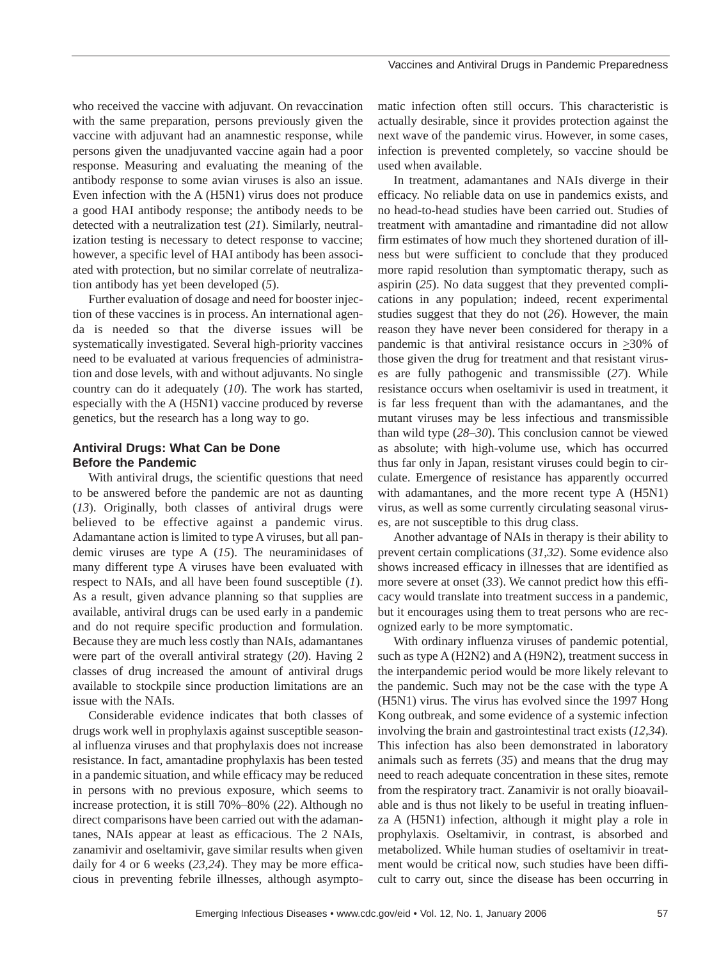who received the vaccine with adjuvant. On revaccination with the same preparation, persons previously given the vaccine with adjuvant had an anamnestic response, while persons given the unadjuvanted vaccine again had a poor response. Measuring and evaluating the meaning of the antibody response to some avian viruses is also an issue. Even infection with the A (H5N1) virus does not produce a good HAI antibody response; the antibody needs to be detected with a neutralization test (*21*). Similarly, neutralization testing is necessary to detect response to vaccine; however, a specific level of HAI antibody has been associated with protection, but no similar correlate of neutralization antibody has yet been developed (*5*).

Further evaluation of dosage and need for booster injection of these vaccines is in process. An international agenda is needed so that the diverse issues will be systematically investigated. Several high-priority vaccines need to be evaluated at various frequencies of administration and dose levels, with and without adjuvants. No single country can do it adequately (*10*). The work has started, especially with the A (H5N1) vaccine produced by reverse genetics, but the research has a long way to go.

## **Antiviral Drugs: What Can be Done Before the Pandemic**

With antiviral drugs, the scientific questions that need to be answered before the pandemic are not as daunting (*13*). Originally, both classes of antiviral drugs were believed to be effective against a pandemic virus. Adamantane action is limited to type A viruses, but all pandemic viruses are type A (*15*). The neuraminidases of many different type A viruses have been evaluated with respect to NAIs, and all have been found susceptible (*1*). As a result, given advance planning so that supplies are available, antiviral drugs can be used early in a pandemic and do not require specific production and formulation. Because they are much less costly than NAIs, adamantanes were part of the overall antiviral strategy (*20*). Having 2 classes of drug increased the amount of antiviral drugs available to stockpile since production limitations are an issue with the NAIs.

Considerable evidence indicates that both classes of drugs work well in prophylaxis against susceptible seasonal influenza viruses and that prophylaxis does not increase resistance. In fact, amantadine prophylaxis has been tested in a pandemic situation, and while efficacy may be reduced in persons with no previous exposure, which seems to increase protection, it is still 70%–80% (*22*). Although no direct comparisons have been carried out with the adamantanes, NAIs appear at least as efficacious. The 2 NAIs, zanamivir and oseltamivir, gave similar results when given daily for 4 or 6 weeks (*23,24*). They may be more efficacious in preventing febrile illnesses, although asymptomatic infection often still occurs. This characteristic is actually desirable, since it provides protection against the next wave of the pandemic virus. However, in some cases, infection is prevented completely, so vaccine should be used when available.

In treatment, adamantanes and NAIs diverge in their efficacy. No reliable data on use in pandemics exists, and no head-to-head studies have been carried out. Studies of treatment with amantadine and rimantadine did not allow firm estimates of how much they shortened duration of illness but were sufficient to conclude that they produced more rapid resolution than symptomatic therapy, such as aspirin (*25*). No data suggest that they prevented complications in any population; indeed, recent experimental studies suggest that they do not (*26*). However, the main reason they have never been considered for therapy in a pandemic is that antiviral resistance occurs in  $\geq 30\%$  of those given the drug for treatment and that resistant viruses are fully pathogenic and transmissible (*27*). While resistance occurs when oseltamivir is used in treatment, it is far less frequent than with the adamantanes, and the mutant viruses may be less infectious and transmissible than wild type (*28–30*). This conclusion cannot be viewed as absolute; with high-volume use, which has occurred thus far only in Japan, resistant viruses could begin to circulate. Emergence of resistance has apparently occurred with adamantanes, and the more recent type A (H5N1) virus, as well as some currently circulating seasonal viruses, are not susceptible to this drug class.

Another advantage of NAIs in therapy is their ability to prevent certain complications (*31,32*). Some evidence also shows increased efficacy in illnesses that are identified as more severe at onset (*33*). We cannot predict how this efficacy would translate into treatment success in a pandemic, but it encourages using them to treat persons who are recognized early to be more symptomatic.

With ordinary influenza viruses of pandemic potential, such as type A (H2N2) and A (H9N2), treatment success in the interpandemic period would be more likely relevant to the pandemic. Such may not be the case with the type A (H5N1) virus. The virus has evolved since the 1997 Hong Kong outbreak, and some evidence of a systemic infection involving the brain and gastrointestinal tract exists (*12,34*). This infection has also been demonstrated in laboratory animals such as ferrets (*35*) and means that the drug may need to reach adequate concentration in these sites, remote from the respiratory tract. Zanamivir is not orally bioavailable and is thus not likely to be useful in treating influenza A (H5N1) infection, although it might play a role in prophylaxis. Oseltamivir, in contrast, is absorbed and metabolized. While human studies of oseltamivir in treatment would be critical now, such studies have been difficult to carry out, since the disease has been occurring in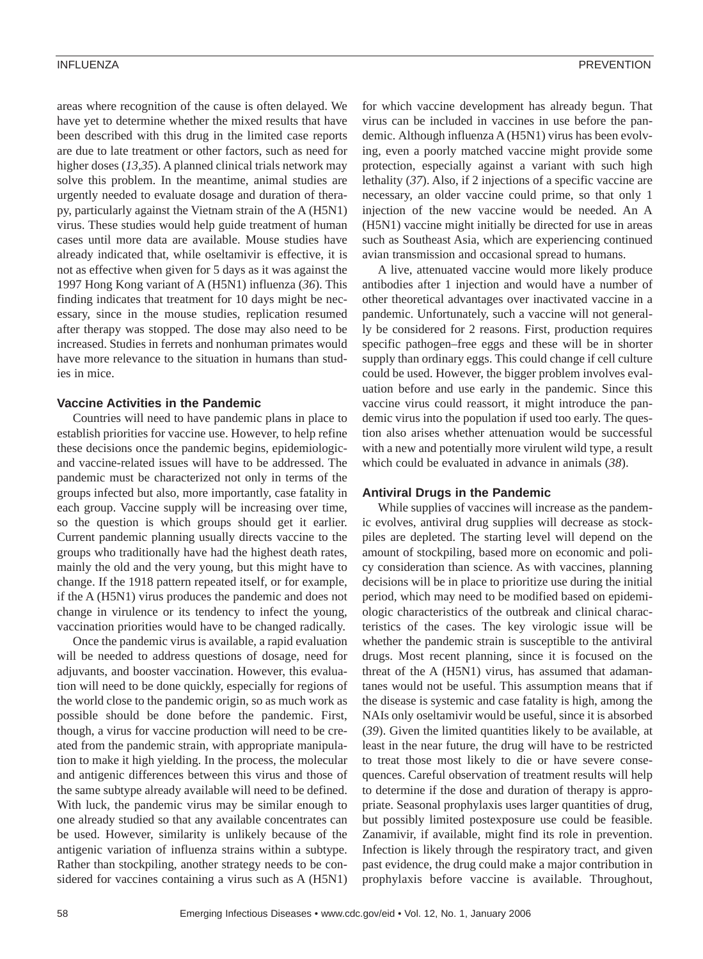areas where recognition of the cause is often delayed. We have yet to determine whether the mixed results that have been described with this drug in the limited case reports are due to late treatment or other factors, such as need for higher doses (13,35). A planned clinical trials network may solve this problem. In the meantime, animal studies are urgently needed to evaluate dosage and duration of therapy, particularly against the Vietnam strain of the A (H5N1) virus. These studies would help guide treatment of human cases until more data are available. Mouse studies have already indicated that, while oseltamivir is effective, it is not as effective when given for 5 days as it was against the 1997 Hong Kong variant of A (H5N1) influenza (*36*). This finding indicates that treatment for 10 days might be necessary, since in the mouse studies, replication resumed after therapy was stopped. The dose may also need to be increased. Studies in ferrets and nonhuman primates would have more relevance to the situation in humans than studies in mice.

#### **Vaccine Activities in the Pandemic**

Countries will need to have pandemic plans in place to establish priorities for vaccine use. However, to help refine these decisions once the pandemic begins, epidemiologicand vaccine-related issues will have to be addressed. The pandemic must be characterized not only in terms of the groups infected but also, more importantly, case fatality in each group. Vaccine supply will be increasing over time, so the question is which groups should get it earlier. Current pandemic planning usually directs vaccine to the groups who traditionally have had the highest death rates, mainly the old and the very young, but this might have to change. If the 1918 pattern repeated itself, or for example, if the A (H5N1) virus produces the pandemic and does not change in virulence or its tendency to infect the young, vaccination priorities would have to be changed radically.

Once the pandemic virus is available, a rapid evaluation will be needed to address questions of dosage, need for adjuvants, and booster vaccination. However, this evaluation will need to be done quickly, especially for regions of the world close to the pandemic origin, so as much work as possible should be done before the pandemic. First, though, a virus for vaccine production will need to be created from the pandemic strain, with appropriate manipulation to make it high yielding. In the process, the molecular and antigenic differences between this virus and those of the same subtype already available will need to be defined. With luck, the pandemic virus may be similar enough to one already studied so that any available concentrates can be used. However, similarity is unlikely because of the antigenic variation of influenza strains within a subtype. Rather than stockpiling, another strategy needs to be considered for vaccines containing a virus such as A (H5N1) for which vaccine development has already begun. That virus can be included in vaccines in use before the pandemic. Although influenza A (H5N1) virus has been evolving, even a poorly matched vaccine might provide some protection, especially against a variant with such high lethality (*37*). Also, if 2 injections of a specific vaccine are necessary, an older vaccine could prime, so that only 1 injection of the new vaccine would be needed. An A (H5N1) vaccine might initially be directed for use in areas such as Southeast Asia, which are experiencing continued avian transmission and occasional spread to humans.

A live, attenuated vaccine would more likely produce antibodies after 1 injection and would have a number of other theoretical advantages over inactivated vaccine in a pandemic. Unfortunately, such a vaccine will not generally be considered for 2 reasons. First, production requires specific pathogen–free eggs and these will be in shorter supply than ordinary eggs. This could change if cell culture could be used. However, the bigger problem involves evaluation before and use early in the pandemic. Since this vaccine virus could reassort, it might introduce the pandemic virus into the population if used too early. The question also arises whether attenuation would be successful with a new and potentially more virulent wild type, a result which could be evaluated in advance in animals (*38*).

#### **Antiviral Drugs in the Pandemic**

While supplies of vaccines will increase as the pandemic evolves, antiviral drug supplies will decrease as stockpiles are depleted. The starting level will depend on the amount of stockpiling, based more on economic and policy consideration than science. As with vaccines, planning decisions will be in place to prioritize use during the initial period, which may need to be modified based on epidemiologic characteristics of the outbreak and clinical characteristics of the cases. The key virologic issue will be whether the pandemic strain is susceptible to the antiviral drugs. Most recent planning, since it is focused on the threat of the A (H5N1) virus, has assumed that adamantanes would not be useful. This assumption means that if the disease is systemic and case fatality is high, among the NAIs only oseltamivir would be useful, since it is absorbed (*39*). Given the limited quantities likely to be available, at least in the near future, the drug will have to be restricted to treat those most likely to die or have severe consequences. Careful observation of treatment results will help to determine if the dose and duration of therapy is appropriate. Seasonal prophylaxis uses larger quantities of drug, but possibly limited postexposure use could be feasible. Zanamivir, if available, might find its role in prevention. Infection is likely through the respiratory tract, and given past evidence, the drug could make a major contribution in prophylaxis before vaccine is available. Throughout,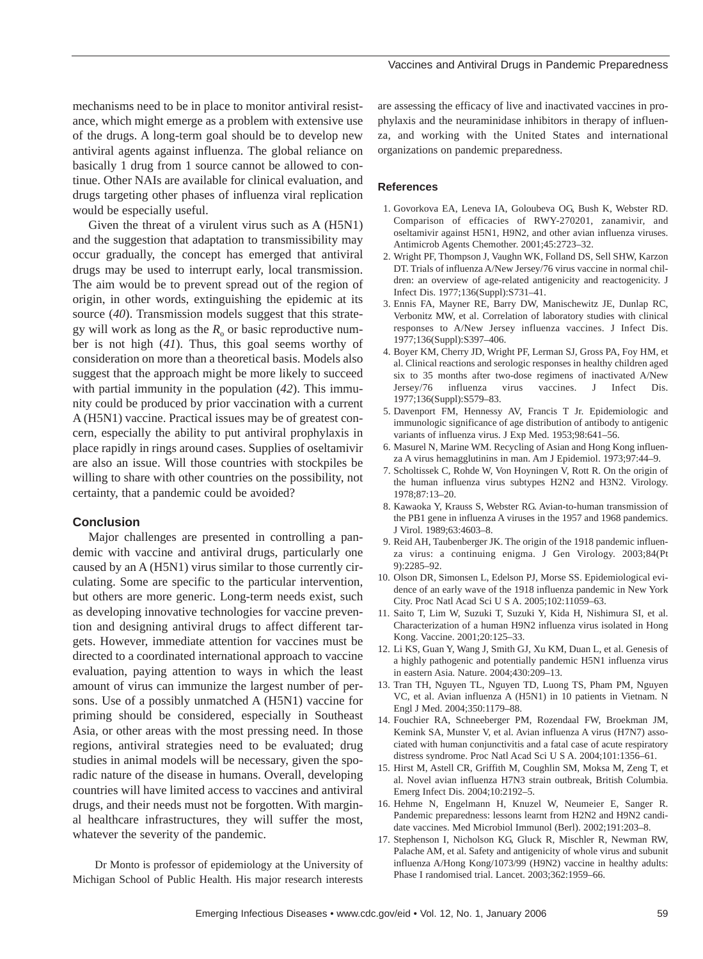mechanisms need to be in place to monitor antiviral resistance, which might emerge as a problem with extensive use of the drugs. A long-term goal should be to develop new antiviral agents against influenza. The global reliance on basically 1 drug from 1 source cannot be allowed to continue. Other NAIs are available for clinical evaluation, and drugs targeting other phases of influenza viral replication would be especially useful.

Given the threat of a virulent virus such as A (H5N1) and the suggestion that adaptation to transmissibility may occur gradually, the concept has emerged that antiviral drugs may be used to interrupt early, local transmission. The aim would be to prevent spread out of the region of origin, in other words, extinguishing the epidemic at its source (*40*). Transmission models suggest that this strategy will work as long as the  $R_0$  or basic reproductive number is not high (*41*). Thus, this goal seems worthy of consideration on more than a theoretical basis. Models also suggest that the approach might be more likely to succeed with partial immunity in the population (*42*). This immunity could be produced by prior vaccination with a current A (H5N1) vaccine. Practical issues may be of greatest concern, especially the ability to put antiviral prophylaxis in place rapidly in rings around cases. Supplies of oseltamivir are also an issue. Will those countries with stockpiles be willing to share with other countries on the possibility, not certainty, that a pandemic could be avoided?

### **Conclusion**

Major challenges are presented in controlling a pandemic with vaccine and antiviral drugs, particularly one caused by an A (H5N1) virus similar to those currently circulating. Some are specific to the particular intervention, but others are more generic. Long-term needs exist, such as developing innovative technologies for vaccine prevention and designing antiviral drugs to affect different targets. However, immediate attention for vaccines must be directed to a coordinated international approach to vaccine evaluation, paying attention to ways in which the least amount of virus can immunize the largest number of persons. Use of a possibly unmatched A (H5N1) vaccine for priming should be considered, especially in Southeast Asia, or other areas with the most pressing need. In those regions, antiviral strategies need to be evaluated; drug studies in animal models will be necessary, given the sporadic nature of the disease in humans. Overall, developing countries will have limited access to vaccines and antiviral drugs, and their needs must not be forgotten. With marginal healthcare infrastructures, they will suffer the most, whatever the severity of the pandemic.

Dr Monto is professor of epidemiology at the University of Michigan School of Public Health. His major research interests are assessing the efficacy of live and inactivated vaccines in prophylaxis and the neuraminidase inhibitors in therapy of influenza, and working with the United States and international organizations on pandemic preparedness.

#### **References**

- 1. Govorkova EA, Leneva IA, Goloubeva OG, Bush K, Webster RD. Comparison of efficacies of RWY-270201, zanamivir, and oseltamivir against H5N1, H9N2, and other avian influenza viruses. Antimicrob Agents Chemother. 2001;45:2723–32.
- 2. Wright PF, Thompson J, Vaughn WK, Folland DS, Sell SHW, Karzon DT. Trials of influenza A/New Jersey/76 virus vaccine in normal children: an overview of age-related antigenicity and reactogenicity. J Infect Dis. 1977;136(Suppl):S731–41.
- 3. Ennis FA, Mayner RE, Barry DW, Manischewitz JE, Dunlap RC, Verbonitz MW, et al. Correlation of laboratory studies with clinical responses to A/New Jersey influenza vaccines. J Infect Dis. 1977;136(Suppl):S397–406.
- 4. Boyer KM, Cherry JD, Wright PF, Lerman SJ, Gross PA, Foy HM, et al. Clinical reactions and serologic responses in healthy children aged six to 35 months after two-dose regimens of inactivated A/New Jersey/76 influenza virus vaccines. J Infect Dis. 1977;136(Suppl):S579–83.
- 5. Davenport FM, Hennessy AV, Francis T Jr. Epidemiologic and immunologic significance of age distribution of antibody to antigenic variants of influenza virus. J Exp Med. 1953;98:641–56.
- 6. Masurel N, Marine WM. Recycling of Asian and Hong Kong influenza A virus hemagglutinins in man. Am J Epidemiol. 1973;97:44–9.
- 7. Scholtissek C, Rohde W, Von Hoyningen V, Rott R. On the origin of the human influenza virus subtypes H2N2 and H3N2. Virology. 1978;87:13–20.
- 8. Kawaoka Y, Krauss S, Webster RG. Avian-to-human transmission of the PB1 gene in influenza A viruses in the 1957 and 1968 pandemics. J Virol. 1989;63:4603–8.
- 9. Reid AH, Taubenberger JK. The origin of the 1918 pandemic influenza virus: a continuing enigma. J Gen Virology. 2003;84(Pt 9):2285–92.
- 10. Olson DR, Simonsen L, Edelson PJ, Morse SS. Epidemiological evidence of an early wave of the 1918 influenza pandemic in New York City. Proc Natl Acad Sci U S A. 2005;102:11059–63.
- 11. Saito T, Lim W, Suzuki T, Suzuki Y, Kida H, Nishimura SI, et al. Characterization of a human H9N2 influenza virus isolated in Hong Kong. Vaccine. 2001;20:125–33.
- 12. Li KS, Guan Y, Wang J, Smith GJ, Xu KM, Duan L, et al. Genesis of a highly pathogenic and potentially pandemic H5N1 influenza virus in eastern Asia. Nature. 2004;430:209–13.
- 13. Tran TH, Nguyen TL, Nguyen TD, Luong TS, Pham PM, Nguyen VC, et al. Avian influenza A (H5N1) in 10 patients in Vietnam. N Engl J Med. 2004;350:1179–88.
- 14. Fouchier RA, Schneeberger PM, Rozendaal FW, Broekman JM, Kemink SA, Munster V, et al. Avian influenza A virus (H7N7) associated with human conjunctivitis and a fatal case of acute respiratory distress syndrome. Proc Natl Acad Sci U S A. 2004;101:1356–61.
- 15. Hirst M, Astell CR, Griffith M, Coughlin SM, Moksa M, Zeng T, et al. Novel avian influenza H7N3 strain outbreak, British Columbia. Emerg Infect Dis. 2004;10:2192–5.
- 16. Hehme N, Engelmann H, Knuzel W, Neumeier E, Sanger R. Pandemic preparedness: lessons learnt from H2N2 and H9N2 candidate vaccines. Med Microbiol Immunol (Berl). 2002;191:203–8.
- 17. Stephenson I, Nicholson KG, Gluck R, Mischler R, Newman RW, Palache AM, et al. Safety and antigenicity of whole virus and subunit influenza A/Hong Kong/1073/99 (H9N2) vaccine in healthy adults: Phase I randomised trial. Lancet. 2003;362:1959–66.